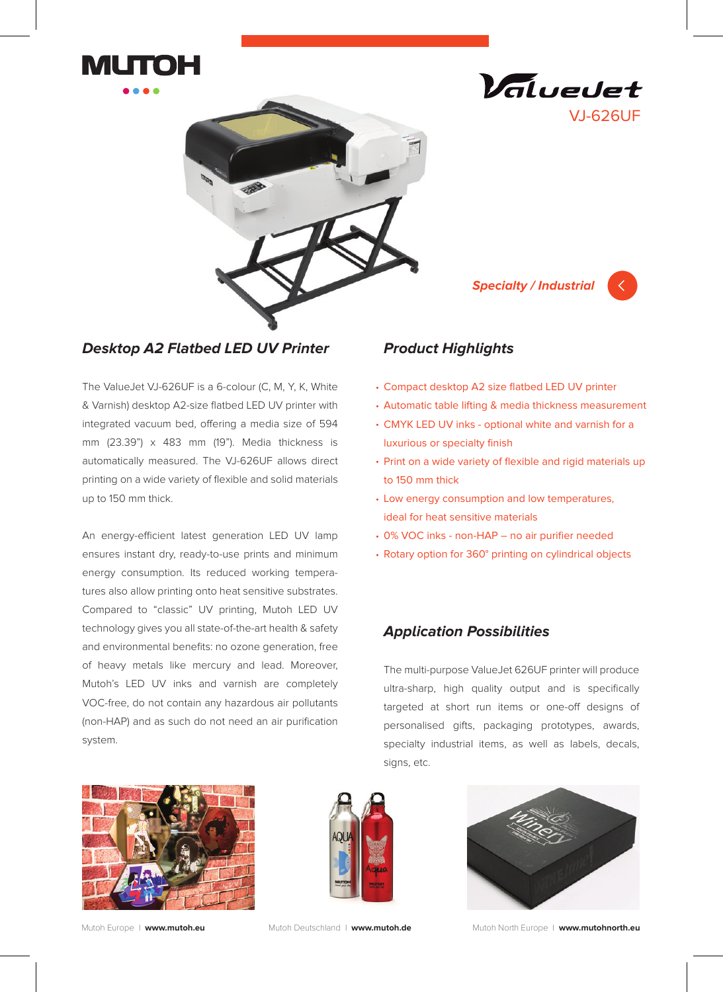







## **Desktop A2 Flatbed LED UV Printer**

The ValueJet VJ-626UF is a 6-colour (C, M, Y, K, White & Varnish) desktop A2-size flatbed LED UV printer with integrated vacuum bed, offering a media size of 594 mm (23.39") x 483 mm (19"). Media thickness is automatically measured. The VJ-626UF allows direct printing on a wide variety of flexible and solid materials up to 150 mm thick.

An energy-efficient latest generation LED UV lamp ensures instant dry, ready-to-use prints and minimum energy consumption. Its reduced working temperatures also allow printing onto heat sensitive substrates. Compared to "classic" UV printing, Mutoh LED UV technology gives you all state-of-the-art health & safety and environmental benefits: no ozone generation, free of heavy metals like mercury and lead. Moreover, Mutoh's LED UV inks and varnish are completely VOC-free, do not contain any hazardous air pollutants (non-HAP) and as such do not need an air purification system.

## **Product Highlights**

- Compact desktop A2 size flatbed LED UV printer •
- Automatic table lifting & media thickness measurement •
- CMYK LED UV inks optional white and varnish for a luxurious or specialty finish
- Print on a wide variety of flexible and rigid materials up to 150 mm thick
- Low energy consumption and low temperatures, ideal for heat sensitive materials
- 0% VOC inks non-HAP no air purifier needed •
- Rotary option for 360° printing on cylindrical objects

## **Application Possibilities**

The multi-purpose ValueJet 626UF printer will produce ultra-sharp, high quality output and is specifically targeted at short run items or one-off designs of personalised gifts, packaging prototypes, awards, specialty industrial items, as well as labels, decals, signs, etc.







Mutoh Europe I **www.mutoh.eu** Mutoh Deutschland I **www.mutoh.de** Mutoh North Europe I **www.mutohnorth.eu**